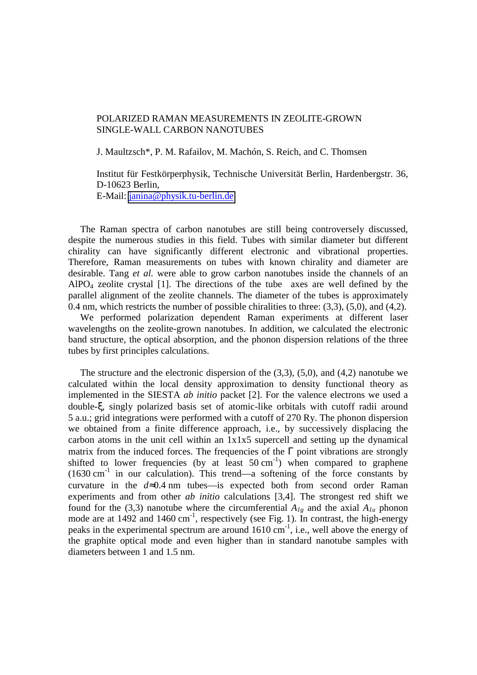## POLARIZED RAMAN MEASUREMENTS IN ZEOLITE-GROWN SINGLE-WALL CARBON NANOTUBES

J. Maultzsch\*, P. M. Rafailov, M. Machón, S. Reich, and C. Thomsen

Institut für Festkörperphysik, Technische Universität Berlin, Hardenbergstr. 36, D-10623 Berlin, E-Mail: [janina@physik.tu-berlin.de](mailto:janina@physik.tu-berlin.de)

 The Raman spectra of carbon nanotubes are still being controversely discussed, despite the numerous studies in this field. Tubes with similar diameter but different chirality can have significantly different electronic and vibrational properties. Therefore, Raman measurements on tubes with known chirality and diameter are desirable. Tang *et al.* were able to grow carbon nanotubes inside the channels of an AlPO<sub>4</sub> zeolite crystal [1]. The directions of the tube axes are well defined by the parallel alignment of the zeolite channels. The diameter of the tubes is approximately 0.4 nm, which restricts the number of possible chiralities to three: (3,3), (5,0), and (4,2).

 We performed polarization dependent Raman experiments at different laser wavelengths on the zeolite-grown nanotubes. In addition, we calculated the electronic band structure, the optical absorption, and the phonon dispersion relations of the three tubes by first principles calculations.

 The structure and the electronic dispersion of the (3,3), (5,0), and (4,2) nanotube we calculated within the local density approximation to density functional theory as implemented in the SIESTA *ab initio* packet [2]. For the valence electrons we used a double-ξ, singly polarized basis set of atomic-like orbitals with cutoff radii around 5 a.u.; grid integrations were performed with a cutoff of 270 Ry. The phonon dispersion we obtained from a finite difference approach, i.e., by successively displacing the carbon atoms in the unit cell within an 1x1x5 supercell and setting up the dynamical matrix from the induced forces. The frequencies of the  $\Gamma$  point vibrations are strongly shifted to lower frequencies (by at least  $50 \text{ cm}^{-1}$ ) when compared to graphene  $(1630 \text{ cm}^{-1})$  in our calculation). This trend—a softening of the force constants by curvature in the *d*≈0.4 nm tubes—is expected both from second order Raman experiments and from other *ab initio* calculations [3,4]. The strongest red shift we found for the (3,3) nanotube where the circumferential  $A_{1g}$  and the axial  $A_{1u}$  phonon mode are at  $1492$  and  $1460 \text{ cm}^{-1}$ , respectively (see Fig. 1). In contrast, the high-energy peaks in the experimental spectrum are around  $1610 \text{ cm}^{-1}$ , i.e., well above the energy of the graphite optical mode and even higher than in standard nanotube samples with diameters between 1 and 1.5 nm.